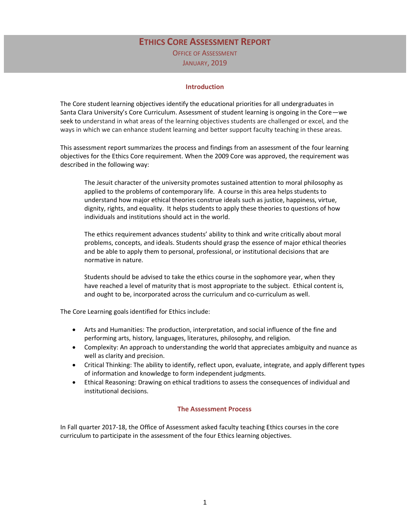# **ETHICS CORE ASSESSMENT REPORT**

OFFICE OF ASSESSMENT JANUARY, 2019

### **Introduction**

The Core student learning objectives identify the educational priorities for all undergraduates in Santa Clara University's Core Curriculum. Assessment of student learning is ongoing in the Core—we seek to understand in what areas of the learning objectives students are challenged or excel, and the ways in which we can enhance student learning and better support faculty teaching in these areas.

This assessment report summarizes the process and findings from an assessment of the four learning objectives for the Ethics Core requirement. When the 2009 Core was approved, the requirement was described in the following way:

The Jesuit character of the university promotes sustained attention to moral philosophy as applied to the problems of contemporary life. A course in this area helps students to understand how major ethical theories construe ideals such as justice, happiness, virtue, dignity, rights, and equality. It helps students to apply these theories to questions of how individuals and institutions should act in the world.

The ethics requirement advances students' ability to think and write critically about moral problems, concepts, and ideals. Students should grasp the essence of major ethical theories and be able to apply them to personal, professional, or institutional decisions that are normative in nature.

Students should be advised to take the ethics course in the sophomore year, when they have reached a level of maturity that is most appropriate to the subject. Ethical content is, and ought to be, incorporated across the curriculum and co-curriculum as well.

The Core Learning goals identified for Ethics include:

- Arts and Humanities: The production, interpretation, and social influence of the fine and performing arts, history, languages, literatures, philosophy, and religion.
- Complexity: An approach to understanding the world that appreciates ambiguity and nuance as well as clarity and precision.
- Critical Thinking: The ability to identify, reflect upon, evaluate, integrate, and apply different types of information and knowledge to form independent judgments.
- Ethical Reasoning: Drawing on ethical traditions to assess the consequences of individual and institutional decisions.

#### **The Assessment Process**

In Fall quarter 2017-18, the Office of Assessment asked faculty teaching Ethics courses in the core curriculum to participate in the assessment of the four Ethics learning objectives.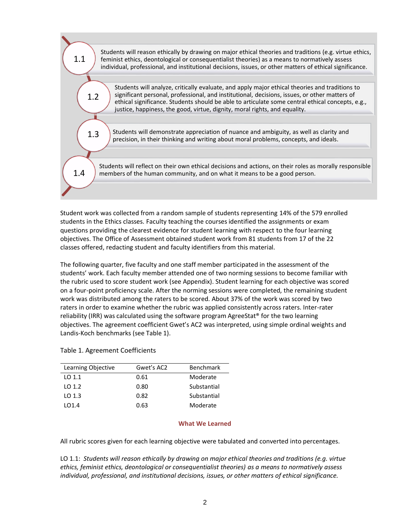

Student work was collected from a random sample of students representing 14% of the 579 enrolled students in the Ethics classes. Faculty teaching the courses identified the assignments or exam questions providing the clearest evidence for student learning with respect to the four learning objectives. The Office of Assessment obtained student work from 81 students from 17 of the 22 classes offered, redacting student and faculty identifiers from this material.

The following quarter, five faculty and one staff member participated in the assessment of the students' work. Each faculty member attended one of two norming sessions to become familiar with the rubric used to score student work (see Appendix). Student learning for each objective was scored on a four-point proficiency scale. After the norming sessions were completed, the remaining student work was distributed among the raters to be scored. About 37% of the work was scored by two raters in order to examine whether the rubric was applied consistently across raters. Inter-rater reliability (IRR) was calculated using the software program AgreeStat<sup>®</sup> for the two learning objectives. The agreement coefficient Gwet's AC2 was interpreted, using simple ordinal weights and Landis-Koch benchmarks (see Table 1).

# Table 1. Agreement Coefficients

| Learning Objective | Gwet's AC2 | <b>Benchmark</b> |
|--------------------|------------|------------------|
| $LO$ 1.1           | 0.61       | Moderate         |
| LO 1.2             | 0.80       | Substantial      |
| LO 1.3             | 0.82       | Substantial      |
| 101.4              | 0.63       | Moderate         |

#### **What We Learned**

All rubric scores given for each learning objective were tabulated and converted into percentages.

LO 1.1: *Students will reason ethically by drawing on major ethical theories and traditions (e.g. virtue ethics, feminist ethics, deontological or consequentialist theories) as a means to normatively assess individual, professional, and institutional decisions, issues, or other matters of ethical significance.*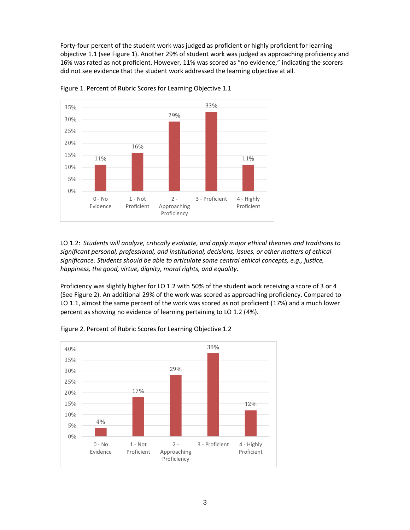Forty-four percent of the student work was judged as proficient or highly proficient for learning objective 1.1 (see Figure 1). Another 29% of student work was judged as approaching proficiency and 16% was rated as not proficient. However, 11% was scored as "no evidence," indicating the scorers did not see evidence that the student work addressed the learning objective at all.



Figure 1. Percent of Rubric Scores for Learning Objective 1.1

LO 1.2: *Students will analyze, critically evaluate, and apply major ethical theories and traditions to significant personal, professional, and institutional, decisions, issues, or other matters of ethical significance. Students should be able to articulate some central ethical concepts, e.g., justice, happiness, the good, virtue, dignity, moral rights, and equality.* 

Proficiency was slightly higher for LO 1.2 with 50% of the student work receiving a score of 3 or 4 (See Figure 2). An additional 29% of the work was scored as approaching proficiency. Compared to LO 1.1, almost the same percent of the work was scored as not proficient (17%) and a much lower percent as showing no evidence of learning pertaining to LO 1.2 (4%).



Figure 2. Percent of Rubric Scores for Learning Objective 1.2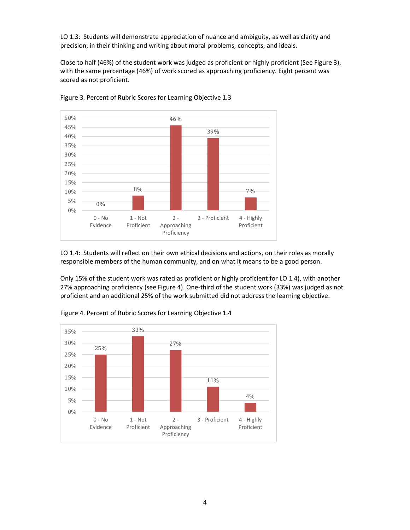LO 1.3: Students will demonstrate appreciation of nuance and ambiguity, as well as clarity and precision, in their thinking and writing about moral problems, concepts, and ideals.

Close to half (46%) of the student work was judged as proficient or highly proficient (See Figure 3), with the same percentage (46%) of work scored as approaching proficiency. Eight percent was scored as not proficient.



Figure 3. Percent of Rubric Scores for Learning Objective 1.3

LO 1.4: Students will reflect on their own ethical decisions and actions, on their roles as morally responsible members of the human community, and on what it means to be a good person.

Only 15% of the student work was rated as proficient or highly proficient for LO 1.4), with another 27% approaching proficiency (see Figure 4). One-third of the student work (33%) was judged as not proficient and an additional 25% of the work submitted did not address the learning objective.



Figure 4. Percent of Rubric Scores for Learning Objective 1.4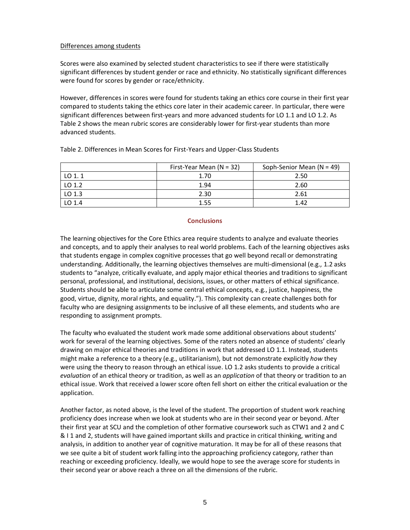# Differences among students

Scores were also examined by selected student characteristics to see if there were statistically significant differences by student gender or race and ethnicity. No statistically significant differences were found for scores by gender or race/ethnicity.

However, differences in scores were found for students taking an ethics core course in their first year compared to students taking the ethics core later in their academic career. In particular, there were significant differences between first-years and more advanced students for LO 1.1 and LO 1.2. As Table 2 shows the mean rubric scores are considerably lower for first-year students than more advanced students.

|          | First-Year Mean $(N = 32)$ | Soph-Senior Mean $(N = 49)$ |  |
|----------|----------------------------|-----------------------------|--|
| $LO$ 1.1 | 1.70                       | 2.50                        |  |
| LO 1.2   | 1.94                       | 2.60                        |  |
| LO 1.3   | 2.30                       | 2.61                        |  |
| LO 1.4   | 1.55                       | 1.42                        |  |

Table 2. Differences in Mean Scores for First-Years and Upper-Class Students

# **Conclusions**

The learning objectives for the Core Ethics area require students to analyze and evaluate theories and concepts, and to apply their analyses to real world problems. Each of the learning objectives asks that students engage in complex cognitive processes that go well beyond recall or demonstrating understanding. Additionally, the learning objectives themselves are multi-dimensional (e.g., 1.2 asks students to "analyze, critically evaluate, and apply major ethical theories and traditions to significant personal, professional, and institutional, decisions, issues, or other matters of ethical significance. Students should be able to articulate some central ethical concepts, e.g., justice, happiness, the good, virtue, dignity, moral rights, and equality."). This complexity can create challenges both for faculty who are designing assignments to be inclusive of all these elements, and students who are responding to assignment prompts.

The faculty who evaluated the student work made some additional observations about students' work for several of the learning objectives. Some of the raters noted an absence of students' clearly drawing on major ethical theories and traditions in work that addressed LO 1.1. Instead, students might make a reference to a theory (e.g., utilitarianism), but not demonstrate explicitly *how* they were using the theory to reason through an ethical issue. LO 1.2 asks students to provide a critical *evaluation* of an ethical theory or tradition, as well as an *application* of that theory or tradition to an ethical issue. Work that received a lower score often fell short on either the critical evaluation or the application.

Another factor, as noted above, is the level of the student. The proportion of student work reaching proficiency does increase when we look at students who are in their second year or beyond. After their first year at SCU and the completion of other formative coursework such as CTW1 and 2 and C & I 1 and 2, students will have gained important skills and practice in critical thinking, writing and analysis, in addition to another year of cognitive maturation. It may be for all of these reasons that we see quite a bit of student work falling into the approaching proficiency category, rather than reaching or exceeding proficiency. Ideally, we would hope to see the average score for students in their second year or above reach a three on all the dimensions of the rubric.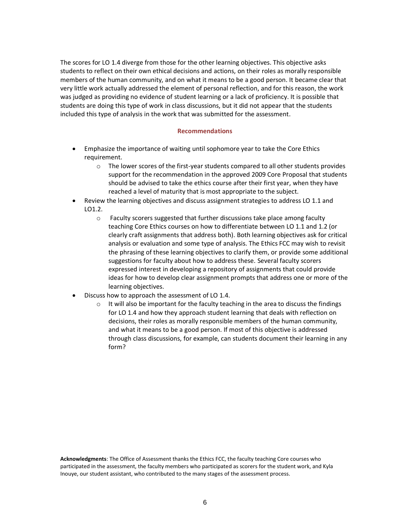The scores for LO 1.4 diverge from those for the other learning objectives. This objective asks students to reflect on their own ethical decisions and actions, on their roles as morally responsible members of the human community, and on what it means to be a good person. It became clear that very little work actually addressed the element of personal reflection, and for this reason, the work was judged as providing no evidence of student learning or a lack of proficiency. It is possible that students are doing this type of work in class discussions, but it did not appear that the students included this type of analysis in the work that was submitted for the assessment.

#### **Recommendations**

- Emphasize the importance of waiting until sophomore year to take the Core Ethics requirement.
	- $\circ$  The lower scores of the first-year students compared to all other students provides support for the recommendation in the approved 2009 Core Proposal that students should be advised to take the ethics course after their first year, when they have reached a level of maturity that is most appropriate to the subject.
- Review the learning objectives and discuss assignment strategies to address LO 1.1 and LO1.2.
	- o Faculty scorers suggested that further discussions take place among faculty teaching Core Ethics courses on how to differentiate between LO 1.1 and 1.2 (or clearly craft assignments that address both). Both learning objectives ask for critical analysis or evaluation and some type of analysis. The Ethics FCC may wish to revisit the phrasing of these learning objectives to clarify them, or provide some additional suggestions for faculty about how to address these. Several faculty scorers expressed interest in developing a repository of assignments that could provide ideas for how to develop clear assignment prompts that address one or more of the learning objectives.
- Discuss how to approach the assessment of LO 1.4.
	- $\circ$  It will also be important for the faculty teaching in the area to discuss the findings for LO 1.4 and how they approach student learning that deals with reflection on decisions, their roles as morally responsible members of the human community, and what it means to be a good person. If most of this objective is addressed through class discussions, for example, can students document their learning in any form?

**Acknowledgments**: The Office of Assessment thanks the Ethics FCC, the faculty teaching Core courses who participated in the assessment, the faculty members who participated as scorers for the student work, and Kyla Inouye, our student assistant, who contributed to the many stages of the assessment process.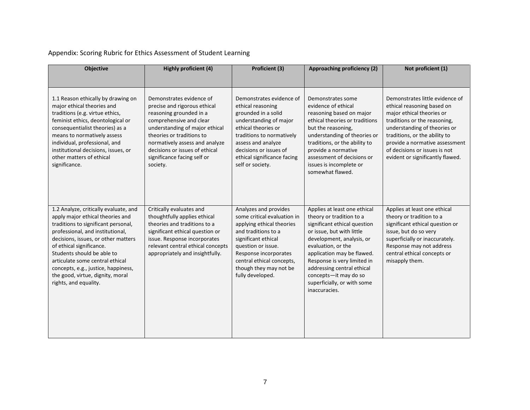# Appendix: Scoring Rubric for Ethics Assessment of Student Learning

| <b>Objective</b>                                                                                                                                                                                                                                                                                                                                                                             | Highly proficient (4)                                                                                                                                                                                                                                                                        | Proficient (3)                                                                                                                                                                                                                                            | Approaching proficiency (2)                                                                                                                                                                                                                                                                                                                  | Not proficient (1)                                                                                                                                                                                                                                                                                 |
|----------------------------------------------------------------------------------------------------------------------------------------------------------------------------------------------------------------------------------------------------------------------------------------------------------------------------------------------------------------------------------------------|----------------------------------------------------------------------------------------------------------------------------------------------------------------------------------------------------------------------------------------------------------------------------------------------|-----------------------------------------------------------------------------------------------------------------------------------------------------------------------------------------------------------------------------------------------------------|----------------------------------------------------------------------------------------------------------------------------------------------------------------------------------------------------------------------------------------------------------------------------------------------------------------------------------------------|----------------------------------------------------------------------------------------------------------------------------------------------------------------------------------------------------------------------------------------------------------------------------------------------------|
| 1.1 Reason ethically by drawing on<br>major ethical theories and<br>traditions (e.g. virtue ethics,<br>feminist ethics, deontological or<br>consequentialist theories) as a<br>means to normatively assess<br>individual, professional, and<br>institutional decisions, issues, or<br>other matters of ethical<br>significance.                                                              | Demonstrates evidence of<br>precise and rigorous ethical<br>reasoning grounded in a<br>comprehensive and clear<br>understanding of major ethical<br>theories or traditions to<br>normatively assess and analyze<br>decisions or issues of ethical<br>significance facing self or<br>society. | Demonstrates evidence of<br>ethical reasoning<br>grounded in a solid<br>understanding of major<br>ethical theories or<br>traditions to normatively<br>assess and analyze<br>decisions or issues of<br>ethical significance facing<br>self or society.     | Demonstrates some<br>evidence of ethical<br>reasoning based on major<br>ethical theories or traditions<br>but the reasoning,<br>understanding of theories or<br>traditions, or the ability to<br>provide a normative<br>assessment of decisions or<br>issues is incomplete or<br>somewhat flawed.                                            | Demonstrates little evidence of<br>ethical reasoning based on<br>major ethical theories or<br>traditions or the reasoning,<br>understanding of theories or<br>traditions, or the ability to<br>provide a normative assessment<br>of decisions or issues is not<br>evident or significantly flawed. |
| 1.2 Analyze, critically evaluate, and<br>apply major ethical theories and<br>traditions to significant personal,<br>professional, and institutional,<br>decisions, issues, or other matters<br>of ethical significance.<br>Students should be able to<br>articulate some central ethical<br>concepts, e.g., justice, happiness,<br>the good, virtue, dignity, moral<br>rights, and equality. | Critically evaluates and<br>thoughtfully applies ethical<br>theories and traditions to a<br>significant ethical question or<br>issue. Response incorporates<br>relevant central ethical concepts<br>appropriately and insightfully.                                                          | Analyzes and provides<br>some critical evaluation in<br>applying ethical theories<br>and traditions to a<br>significant ethical<br>question or issue.<br>Response incorporates<br>central ethical concepts,<br>though they may not be<br>fully developed. | Applies at least one ethical<br>theory or tradition to a<br>significant ethical question<br>or issue, but with little<br>development, analysis, or<br>evaluation, or the<br>application may be flawed.<br>Response is very limited in<br>addressing central ethical<br>concepts-it may do so<br>superficially, or with some<br>inaccuracies. | Applies at least one ethical<br>theory or tradition to a<br>significant ethical question or<br>issue, but do so very<br>superficially or inaccurately.<br>Response may not address<br>central ethical concepts or<br>misapply them.                                                                |